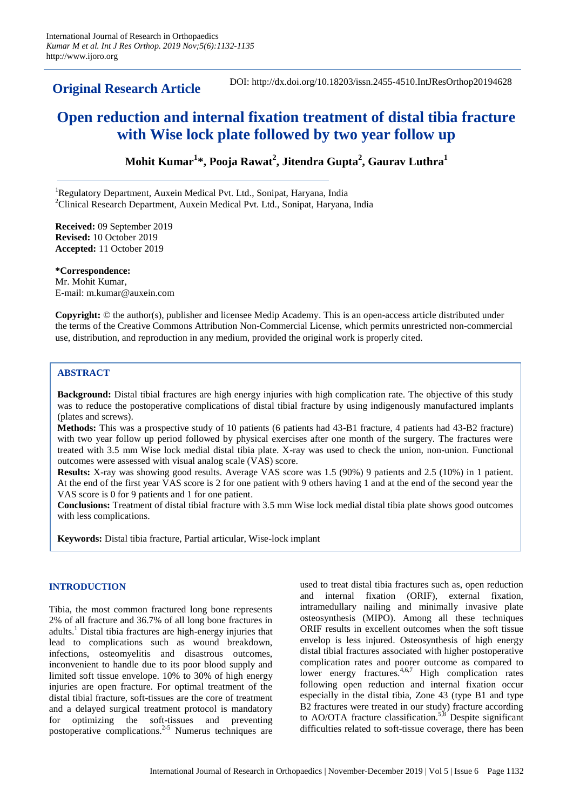**Original Research Article** DOI: http://dx.doi.org/10.18203/issn.2455-4510.IntJResOrthop20194628

# **Open reduction and internal fixation treatment of distal tibia fracture with Wise lock plate followed by two year follow up**

**Mohit Kumar<sup>1</sup> \*, Pooja Rawat<sup>2</sup> , Jitendra Gupta<sup>2</sup> , Gaurav Luthra<sup>1</sup>**

<sup>1</sup>Regulatory Department, Auxein Medical Pvt. Ltd., Sonipat, Haryana, India <sup>2</sup>Clinical Research Department, Auxein Medical Pvt. Ltd., Sonipat, Haryana, India

**Received:** 09 September 2019 **Revised:** 10 October 2019 **Accepted:** 11 October 2019

**\*Correspondence:** Mr. Mohit Kumar, E-mail: m.kumar@auxein.com

**Copyright:** © the author(s), publisher and licensee Medip Academy. This is an open-access article distributed under the terms of the Creative Commons Attribution Non-Commercial License, which permits unrestricted non-commercial use, distribution, and reproduction in any medium, provided the original work is properly cited.

# **ABSTRACT**

**Background:** Distal tibial fractures are high energy injuries with high complication rate. The objective of this study was to reduce the postoperative complications of distal tibial fracture by using indigenously manufactured implants (plates and screws).

**Methods:** This was a prospective study of 10 patients (6 patients had 43-B1 fracture, 4 patients had 43-B2 fracture) with two year follow up period followed by physical exercises after one month of the surgery. The fractures were treated with 3.5 mm Wise lock medial distal tibia plate. X-ray was used to check the union, non-union. Functional outcomes were assessed with visual analog scale (VAS) score.

**Results:** X-ray was showing good results. Average VAS score was 1.5 (90%) 9 patients and 2.5 (10%) in 1 patient. At the end of the first year VAS score is 2 for one patient with 9 others having 1 and at the end of the second year the VAS score is 0 for 9 patients and 1 for one patient.

**Conclusions:** Treatment of distal tibial fracture with 3.5 mm Wise lock medial distal tibia plate shows good outcomes with less complications.

**Keywords:** Distal tibia fracture, Partial articular, Wise-lock implant

# **INTRODUCTION**

Tibia, the most common fractured long bone represents 2% of all fracture and 36.7% of all long bone fractures in adults.<sup>1</sup> Distal tibia fractures are high-energy injuries that lead to complications such as wound breakdown, infections, osteomyelitis and disastrous outcomes, inconvenient to handle due to its poor blood supply and limited soft tissue envelope. 10% to 30% of high energy injuries are open fracture. For optimal treatment of the distal tibial fracture, soft-tissues are the core of treatment and a delayed surgical treatment protocol is mandatory for optimizing the soft-tissues and preventing postoperative complications.2-5 Numerus techniques are used to treat distal tibia fractures such as, open reduction and internal fixation (ORIF), external fixation, intramedullary nailing and minimally invasive plate osteosynthesis (MIPO). Among all these techniques ORIF results in excellent outcomes when the soft tissue envelop is less injured. Osteosynthesis of high energy distal tibial fractures associated with higher postoperative complication rates and poorer outcome as compared to lower energy fractures.<sup>4,6,7</sup> High complication rates following open reduction and internal fixation occur especially in the distal tibia, Zone 43 (type B1 and type B2 fractures were treated in our study) fracture according to AO/OTA fracture classification.<sup>5,8</sup> Despite significant difficulties related to soft-tissue coverage, there has been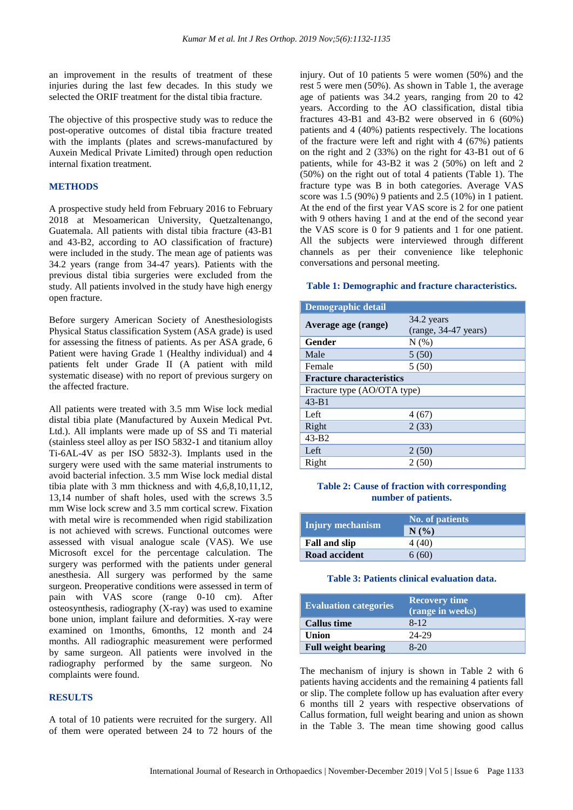an improvement in the results of treatment of these injuries during the last few decades. In this study we selected the ORIF treatment for the distal tibia fracture.

The objective of this prospective study was to reduce the post-operative outcomes of distal tibia fracture treated with the implants (plates and screws-manufactured by Auxein Medical Private Limited) through open reduction internal fixation treatment.

# **METHODS**

A prospective study held from February 2016 to February 2018 at Mesoamerican University, Quetzaltenango, Guatemala. All patients with distal tibia fracture (43-B1 and 43-B2, according to AO classification of fracture) were included in the study. The mean age of patients was 34.2 years (range from 34-47 years). Patients with the previous distal tibia surgeries were excluded from the study. All patients involved in the study have high energy open fracture.

Before surgery American Society of Anesthesiologists Physical Status classification System (ASA grade) is used for assessing the fitness of patients. As per ASA grade, 6 Patient were having Grade 1 (Healthy individual) and 4 patients felt under Grade II (A patient with mild systematic disease) with no report of previous surgery on the affected fracture.

All patients were treated with 3.5 mm Wise lock medial distal tibia plate (Manufactured by Auxein Medical Pvt. Ltd.). All implants were made up of SS and Ti material (stainless steel alloy as per ISO 5832-1 and titanium alloy Ti-6AL-4V as per ISO 5832-3). Implants used in the surgery were used with the same material instruments to avoid bacterial infection. 3.5 mm Wise lock medial distal tibia plate with 3 mm thickness and with 4,6,8,10,11,12, 13,14 number of shaft holes, used with the screws 3.5 mm Wise lock screw and 3.5 mm cortical screw. Fixation with metal wire is recommended when rigid stabilization is not achieved with screws. Functional outcomes were assessed with visual analogue scale (VAS). We use Microsoft excel for the percentage calculation. The surgery was performed with the patients under general anesthesia. All surgery was performed by the same surgeon. Preoperative conditions were assessed in term of pain with VAS score (range 0-10 cm). After osteosynthesis, radiography (X-ray) was used to examine bone union, implant failure and deformities. X-ray were examined on 1months, 6months, 12 month and 24 months. All radiographic measurement were performed by same surgeon. All patients were involved in the radiography performed by the same surgeon. No complaints were found.

## **RESULTS**

A total of 10 patients were recruited for the surgery. All of them were operated between 24 to 72 hours of the

injury. Out of 10 patients 5 were women (50%) and the rest 5 were men (50%). As shown in Table 1, the average age of patients was 34.2 years, ranging from 20 to 42 years. According to the AO classification, distal tibia fractures 43-B1 and 43-B2 were observed in 6 (60%) patients and 4 (40%) patients respectively. The locations of the fracture were left and right with 4 (67%) patients on the right and 2 (33%) on the right for 43-B1 out of 6 patients, while for 43-B2 it was 2 (50%) on left and 2 (50%) on the right out of total 4 patients (Table 1). The fracture type was B in both categories. Average VAS score was 1.5 (90%) 9 patients and 2.5 (10%) in 1 patient. At the end of the first year VAS score is 2 for one patient with 9 others having 1 and at the end of the second year the VAS score is 0 for 9 patients and 1 for one patient. All the subjects were interviewed through different channels as per their convenience like telephonic conversations and personal meeting.

#### **Table 1: Demographic and fracture characteristics.**

| <b>Demographic detail</b>       |                      |
|---------------------------------|----------------------|
| Average age (range)             | 34.2 years           |
|                                 | (range, 34-47 years) |
| Gender                          | N(%)                 |
| Male                            | 5(50)                |
| Female                          | 5(50)                |
| <b>Fracture characteristics</b> |                      |
| Fracture type (AO/OTA type)     |                      |
| $43 - B1$                       |                      |
| Left                            | 4(67)                |
| Right                           | 2(33)                |
| $43 - B2$                       |                      |
| Left                            | 2(50)                |
| Right                           | 2(50)                |

## **Table 2: Cause of fraction with corresponding number of patients.**

| Injury mechanism     | No. of patients |
|----------------------|-----------------|
|                      | N(%             |
| <b>Fall and slip</b> | 4 (40)          |
| Road accident        | 6(60)           |

## **Table 3: Patients clinical evaluation data.**

| <b>Evaluation categories</b> | <b>Recovery time</b><br>(range in weeks) |
|------------------------------|------------------------------------------|
| <b>Callus time</b>           | $8 - 12$                                 |
| Union                        | 24-29                                    |
| <b>Full weight bearing</b>   | $8-20$                                   |

The mechanism of injury is shown in Table 2 with 6 patients having accidents and the remaining 4 patients fall or slip. The complete follow up has evaluation after every 6 months till 2 years with respective observations of Callus formation, full weight bearing and union as shown in the Table 3. The mean time showing good callus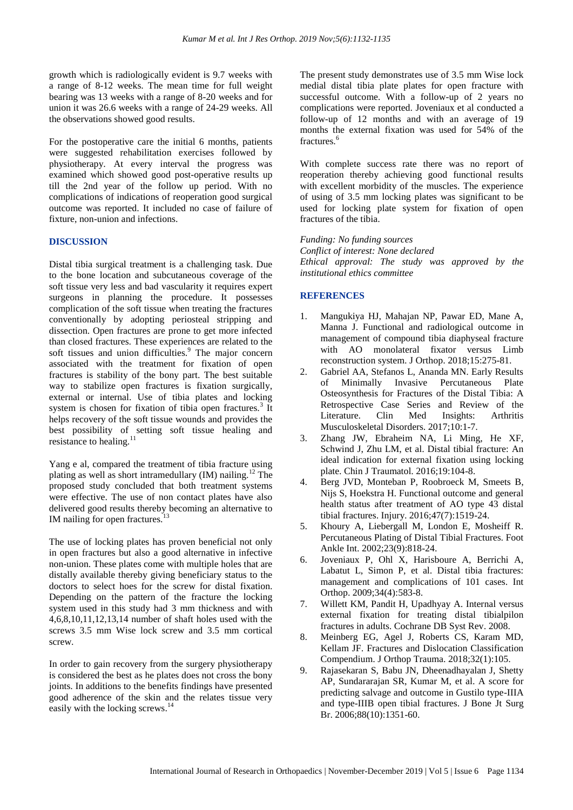growth which is radiologically evident is 9.7 weeks with a range of 8-12 weeks. The mean time for full weight bearing was 13 weeks with a range of 8-20 weeks and for union it was 26.6 weeks with a range of 24-29 weeks. All the observations showed good results.

For the postoperative care the initial 6 months, patients were suggested rehabilitation exercises followed by physiotherapy. At every interval the progress was examined which showed good post-operative results up till the 2nd year of the follow up period. With no complications of indications of reoperation good surgical outcome was reported. It included no case of failure of fixture, non-union and infections.

# **DISCUSSION**

Distal tibia surgical treatment is a challenging task. Due to the bone location and subcutaneous coverage of the soft tissue very less and bad vascularity it requires expert surgeons in planning the procedure. It possesses complication of the soft tissue when treating the fractures conventionally by adopting periosteal stripping and dissection. Open fractures are prone to get more infected than closed fractures. These experiences are related to the soft tissues and union difficulties.<sup>9</sup> The major concern associated with the treatment for fixation of open fractures is stability of the bony part. The best suitable way to stabilize open fractures is fixation surgically, external or internal. Use of tibia plates and locking system is chosen for fixation of tibia open fractures.<sup>3</sup> It helps recovery of the soft tissue wounds and provides the best possibility of setting soft tissue healing and resistance to healing.<sup>11</sup>

Yang e al, compared the treatment of tibia fracture using plating as well as short intramedullary  $(IM)$  nailing.<sup>12</sup> The proposed study concluded that both treatment systems were effective. The use of non contact plates have also delivered good results thereby becoming an alternative to IM nailing for open fractures.

The use of locking plates has proven beneficial not only in open fractures but also a good alternative in infective non-union. These plates come with multiple holes that are distally available thereby giving beneficiary status to the doctors to select hoes for the screw for distal fixation. Depending on the pattern of the fracture the locking system used in this study had 3 mm thickness and with 4,6,8,10,11,12,13,14 number of shaft holes used with the screws 3.5 mm Wise lock screw and 3.5 mm cortical screw.

In order to gain recovery from the surgery physiotherapy is considered the best as he plates does not cross the bony joints. In additions to the benefits findings have presented good adherence of the skin and the relates tissue very easily with the locking screws.<sup>14</sup>

The present study demonstrates use of 3.5 mm Wise lock medial distal tibia plate plates for open fracture with successful outcome. With a follow-up of 2 years no complications were reported. Joveniaux et al conducted a follow-up of 12 months and with an average of 19 months the external fixation was used for 54% of the fractures.<sup>6</sup>

With complete success rate there was no report of reoperation thereby achieving good functional results with excellent morbidity of the muscles. The experience of using of 3.5 mm locking plates was significant to be used for locking plate system for fixation of open fractures of the tibia.

*Funding: No funding sources Conflict of interest: None declared Ethical approval: The study was approved by the institutional ethics committee*

## **REFERENCES**

- 1. Mangukiya HJ, Mahajan NP, Pawar ED, Mane A, Manna J. Functional and radiological outcome in management of compound tibia diaphyseal fracture with AO monolateral fixator versus Limb reconstruction system. J Orthop. 2018;15:275-81.
- 2. Gabriel AA, Stefanos L, Ananda MN. Early Results of Minimally Invasive Percutaneous Plate Osteosynthesis for Fractures of the Distal Tibia: A Retrospective Case Series and Review of the Literature. Clin Med Insights: Arthritis Musculoskeletal Disorders. 2017;10:1-7.
- 3. Zhang JW, Ebraheim NA, Li Ming, He XF, Schwind J, Zhu LM, et al. Distal tibial fracture: An ideal indication for external fixation using locking plate. Chin J Traumatol. 2016;19:104-8.
- 4. Berg JVD, Monteban P, Roobroeck M, Smeets B, Nijs S, Hoekstra H. Functional outcome and general health status after treatment of AO type 43 distal tibial fractures. Injury. 2016;47(7):1519-24.
- 5. Khoury A, Liebergall M, London E, Mosheiff R. Percutaneous Plating of Distal Tibial Fractures. Foot Ankle Int. 2002;23(9):818-24.
- 6. Joveniaux P, Ohl X, Harisboure A, Berrichi A, Labatut L, Simon P, et al. Distal tibia fractures: management and complications of 101 cases. Int Orthop. 2009;34(4):583-8.
- 7. Willett KM, Pandit H, Upadhyay A. Internal versus external fixation for treating distal tibialpilon fractures in adults. Cochrane DB Syst Rev. 2008.
- 8. Meinberg EG, Agel J, Roberts CS, Karam MD, Kellam JF. Fractures and Dislocation Classification Compendium. J Orthop Trauma. 2018;32(1):105.
- 9. Rajasekaran S, Babu JN, Dheenadhayalan J, Shetty AP, Sundararajan SR, Kumar M, et al. A score for predicting salvage and outcome in Gustilo type-IIIA and type-IIIB open tibial fractures. J Bone Jt Surg Br. 2006;88(10):1351-60.